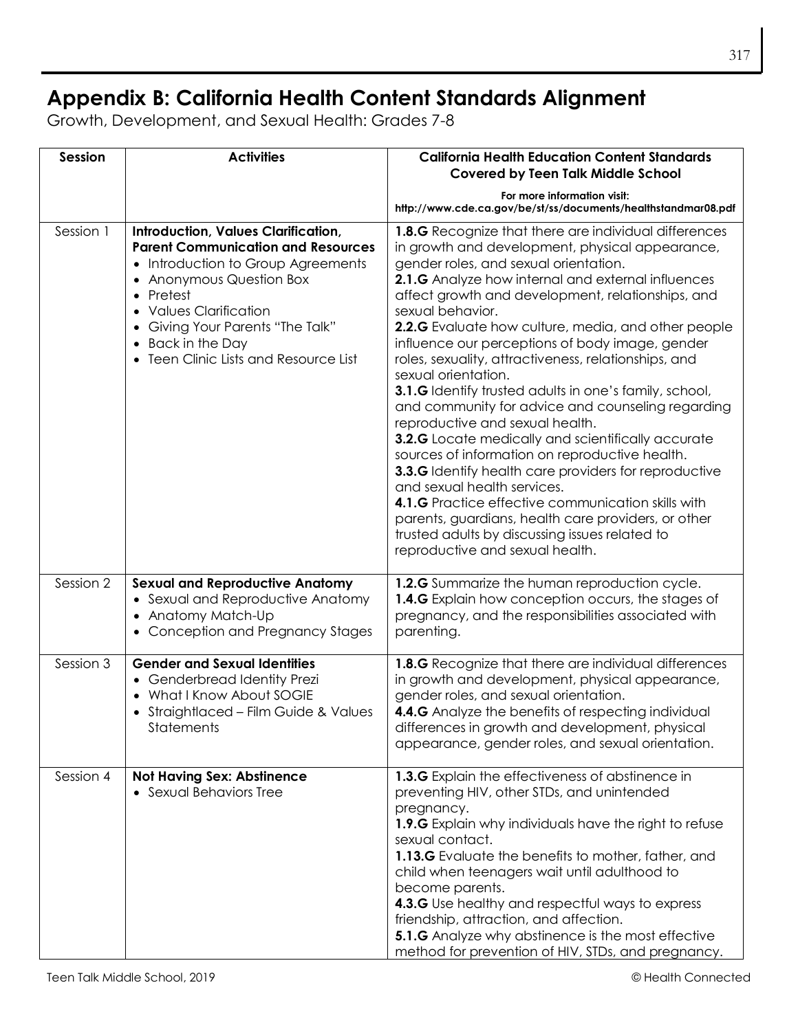## **Appendix B: California Health Content Standards Alignment**

Growth, Development, and Sexual Health: Grades 7-8

| Session   | <b>Activities</b>                                                                                                                                                                                                                                                                                  | <b>California Health Education Content Standards</b><br><b>Covered by Teen Talk Middle School</b>                                                                                                                                                                                                                                                                                                                                                                                                                                                                                                                                                                                                                                                                                                                                                                                                                                                                                                                                           |
|-----------|----------------------------------------------------------------------------------------------------------------------------------------------------------------------------------------------------------------------------------------------------------------------------------------------------|---------------------------------------------------------------------------------------------------------------------------------------------------------------------------------------------------------------------------------------------------------------------------------------------------------------------------------------------------------------------------------------------------------------------------------------------------------------------------------------------------------------------------------------------------------------------------------------------------------------------------------------------------------------------------------------------------------------------------------------------------------------------------------------------------------------------------------------------------------------------------------------------------------------------------------------------------------------------------------------------------------------------------------------------|
|           |                                                                                                                                                                                                                                                                                                    | For more information visit:<br>http://www.cde.ca.gov/be/st/ss/documents/healthstandmar08.pdf                                                                                                                                                                                                                                                                                                                                                                                                                                                                                                                                                                                                                                                                                                                                                                                                                                                                                                                                                |
| Session 1 | <b>Introduction, Values Clarification,</b><br><b>Parent Communication and Resources</b><br>• Introduction to Group Agreements<br>• Anonymous Question Box<br>• Pretest<br>• Values Clarification<br>• Giving Your Parents "The Talk"<br>• Back in the Day<br>• Teen Clinic Lists and Resource List | <b>1.8.G</b> Recognize that there are individual differences<br>in growth and development, physical appearance,<br>gender roles, and sexual orientation.<br>2.1.G Analyze how internal and external influences<br>affect growth and development, relationships, and<br>sexual behavior.<br>2.2.G Evaluate how culture, media, and other people<br>influence our perceptions of body image, gender<br>roles, sexuality, attractiveness, relationships, and<br>sexual orientation.<br>3.1.G Identify trusted adults in one's family, school,<br>and community for advice and counseling regarding<br>reproductive and sexual health.<br>3.2.G Locate medically and scientifically accurate<br>sources of information on reproductive health.<br><b>3.3.G</b> Identify health care providers for reproductive<br>and sexual health services.<br>4.1.G Practice effective communication skills with<br>parents, guardians, health care providers, or other<br>trusted adults by discussing issues related to<br>reproductive and sexual health. |
| Session 2 | <b>Sexual and Reproductive Anatomy</b><br>• Sexual and Reproductive Anatomy<br>• Anatomy Match-Up<br>• Conception and Pregnancy Stages                                                                                                                                                             | 1.2.G Summarize the human reproduction cycle.<br>1.4.G Explain how conception occurs, the stages of<br>pregnancy, and the responsibilities associated with<br>parenting.                                                                                                                                                                                                                                                                                                                                                                                                                                                                                                                                                                                                                                                                                                                                                                                                                                                                    |
| Session 3 | <b>Gender and Sexual Identities</b><br>• Genderbread Identity Prezi<br>• What I Know About SOGIE<br>• Straightlaced - Film Guide & Values<br>Statements                                                                                                                                            | 1.8.G Recognize that there are individual differences<br>in growth and development, physical appearance,<br>gender roles, and sexual orientation.<br>4.4.G Analyze the benefits of respecting individual<br>differences in growth and development, physical<br>appearance, gender roles, and sexual orientation.                                                                                                                                                                                                                                                                                                                                                                                                                                                                                                                                                                                                                                                                                                                            |
| Session 4 | <b>Not Having Sex: Abstinence</b><br>• Sexual Behaviors Tree                                                                                                                                                                                                                                       | 1.3.G Explain the effectiveness of abstinence in<br>preventing HIV, other STDs, and unintended<br>pregnancy.<br>1.9.G Explain why individuals have the right to refuse<br>sexual contact.<br>1.13.G Evaluate the benefits to mother, father, and<br>child when teenagers wait until adulthood to<br>become parents.<br>4.3.G Use healthy and respectful ways to express<br>friendship, attraction, and affection.<br><b>5.1.G</b> Analyze why abstinence is the most effective<br>method for prevention of HIV, STDs, and pregnancy.                                                                                                                                                                                                                                                                                                                                                                                                                                                                                                        |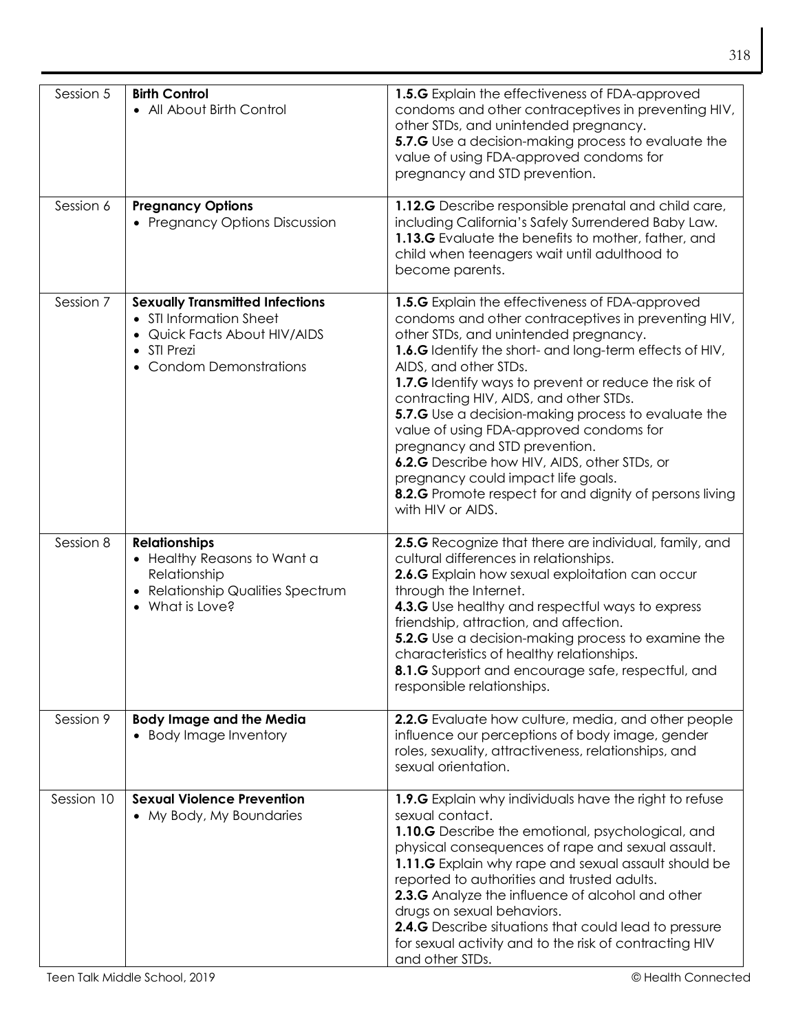| Session 5  | <b>Birth Control</b><br>• All About Birth Control                                                                                           | 1.5.G Explain the effectiveness of FDA-approved<br>condoms and other contraceptives in preventing HIV,<br>other STDs, and unintended pregnancy.<br>5.7.G Use a decision-making process to evaluate the<br>value of using FDA-approved condoms for<br>pregnancy and STD prevention.                                                                                                                                                                                                                                                                                                                                                                    |
|------------|---------------------------------------------------------------------------------------------------------------------------------------------|-------------------------------------------------------------------------------------------------------------------------------------------------------------------------------------------------------------------------------------------------------------------------------------------------------------------------------------------------------------------------------------------------------------------------------------------------------------------------------------------------------------------------------------------------------------------------------------------------------------------------------------------------------|
| Session 6  | <b>Pregnancy Options</b><br>• Pregnancy Options Discussion                                                                                  | 1.12.G Describe responsible prenatal and child care,<br>including California's Safely Surrendered Baby Law.<br>1.13.G Evaluate the benefits to mother, father, and<br>child when teenagers wait until adulthood to<br>become parents.                                                                                                                                                                                                                                                                                                                                                                                                                 |
| Session 7  | <b>Sexually Transmitted Infections</b><br>• STI Information Sheet<br>• Quick Facts About HIV/AIDS<br>• STI Prezi<br>• Condom Demonstrations | 1.5.G Explain the effectiveness of FDA-approved<br>condoms and other contraceptives in preventing HIV,<br>other STDs, and unintended pregnancy.<br><b>1.6.G</b> Identify the short- and long-term effects of HIV,<br>AIDS, and other STDs.<br>1.7.G Identify ways to prevent or reduce the risk of<br>contracting HIV, AIDS, and other STDs.<br>5.7.G Use a decision-making process to evaluate the<br>value of using FDA-approved condoms for<br>pregnancy and STD prevention.<br>6.2.G Describe how HIV, AIDS, other STDs, or<br>pregnancy could impact life goals.<br>8.2.G Promote respect for and dignity of persons living<br>with HIV or AIDS. |
| Session 8  | <b>Relationships</b><br>• Healthy Reasons to Want a<br>Relationship<br>• Relationship Qualities Spectrum<br>What is Love?                   | 2.5.G Recognize that there are individual, family, and<br>cultural differences in relationships.<br>2.6.G Explain how sexual exploitation can occur<br>through the Internet.<br>4.3.G Use healthy and respectful ways to express<br>friendship, attraction, and affection.<br>5.2.G Use a decision-making process to examine the<br>characteristics of healthy relationships.<br>8.1.G Support and encourage safe, respectful, and<br>responsible relationships.                                                                                                                                                                                      |
| Session 9  | <b>Body Image and the Media</b><br>• Body Image Inventory                                                                                   | 2.2.G Evaluate how culture, media, and other people<br>influence our perceptions of body image, gender<br>roles, sexuality, attractiveness, relationships, and<br>sexual orientation.                                                                                                                                                                                                                                                                                                                                                                                                                                                                 |
| Session 10 | <b>Sexual Violence Prevention</b><br>• My Body, My Boundaries                                                                               | 1.9.G Explain why individuals have the right to refuse<br>sexual contact.<br>1.10.G Describe the emotional, psychological, and<br>physical consequences of rape and sexual assault.<br>1.11.G Explain why rape and sexual assault should be<br>reported to authorities and trusted adults.<br>2.3.G Analyze the influence of alcohol and other<br>drugs on sexual behaviors.<br><b>2.4.G</b> Describe situations that could lead to pressure<br>for sexual activity and to the risk of contracting HIV<br>and other STDs.                                                                                                                             |